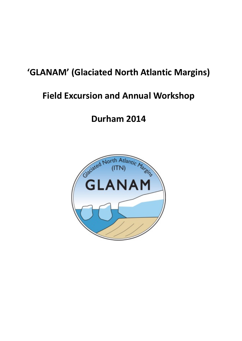## **'GLANAM' (Glaciated North Atlantic Margins)**

## **Field Excursion and Annual Workshop**

# **Durham 2014**

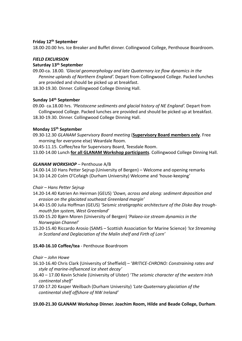#### **Friday 12th September**

18.00‐20.00 hrs. Ice Breaker and Buffet dinner. Collingwood College, Penthouse Boardroom.

#### *FIELD EXCURSION*

### **Saturday 13th September**

- 09.00‐ca. 18.00. *'Glacial geomorphology and late Quaternary ice flow dynamics in the Pennine uplands of Northern England'.* Depart from Collingwood College. Packed lunches are provided and should be picked up at breakfast.
- 18.30‐19.30. Dinner. Collingwood College Dinning Hall.

## **Sunday 14th September**

09.00‐ ca.18.00 hrs. *'Pleistocene sediments and glacial history of NE England'.* Depart from Collingwood College. Packed lunches are provided and should be picked up at breakfast. 18.30‐19.30. Dinner. Collingwood College Dinning Hall.

## **Monday 15th September**

- 09.30‐12.30 *GLANAM Supervisory Board meeting* (**Supervisory Board members only**. Free morning for everyone else) Weardale Room.
- 10.45‐11.15. Coffee/tea for Supervisory Board, Teesdale Room.

13.00‐14.00 Lunch **for all GLANAM Workshop participants**. Collingwood College Dinning Hall.

#### *GLANAM WORKSHOP* – Penthouse A/B

14.00‐14.10 Hans Petter Sejrup (University of Bergen) – Welcome and opening remarks 14.10‐14.20 Colm O'Cofaigh (Durham University) Welcome and 'house‐keeping'

#### *Chair – Hans Petter Sejrup*

- 14.20‐14.40 Katrien An Heirman (GEUS) '*Down, across and along: sediment deposition and erosion on the glaciated southeast Greenland margin'*
- 14.40‐15.00 Julia Hoffman (GEUS) *'Seismic stratigraphic architecture of the Disko Bay trough‐ mouth fan system, West Greenland'*
- 15.00‐15.20 Bjørn Moren (University of Bergen) *'Palaeo‐ice stream dynamics in the Norwegian Channel'*
- 15.20‐15.40 Riccardo Arosio (SAMS Scottish Association for Marine Science) *'Ice Streaming in Scotland and Deglaciation of the Malin shelf and Firth of Lorn'*

## **15.40‐16.10 Coffee/tea** ‐ Penthouse Boardroom

## *Chair – John Howe*

- 16.10‐16.40 Chris Clark (University of Sheffield) '*BRITICE‐CHRONO: Constraining rates and style of marine‐influenced ice sheet decay'*
- 16.40 17.00 Kevin Schiele (University of Ulster) *'The seismic character of the western Irish continental shelf'*
- 17.00‐17.20 Kasper Weilbach (Durham University) *'Late Quaternary glaciation of the continental shelf offshore of NW Ireland'*

## **19.00‐21.30 GLANAM Workshop Dinner. Joachim Room, Hilde and Beade College, Durham**.